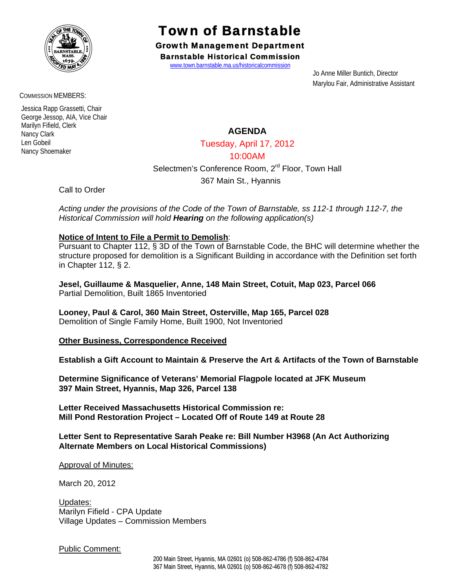

Town of Barnstable

Growth Management Department Barnstable Historical Commission

www.town.barnstable.ma.us/historicalcommission

 Jo Anne Miller Buntich, Director Marylou Fair, Administrative Assistant

COMMISSION MEMBERS:

 Jessica Rapp Grassetti, Chair George Jessop, AIA, Vice Chair Marilyn Fifield, Clerk Nancy Clark Len Gobeil Nancy Shoemaker

# **AGENDA**

Tuesday, April 17, 2012

## 10:00AM

Selectmen's Conference Room, 2<sup>rd</sup> Floor, Town Hall

367 Main St., Hyannis

Call to Order

*Acting under the provisions of the Code of the Town of Barnstable, ss 112-1 through 112-7, the Historical Commission will hold Hearing on the following application(s)* 

## **Notice of Intent to File a Permit to Demolish**:

Pursuant to Chapter 112, § 3D of the Town of Barnstable Code, the BHC will determine whether the structure proposed for demolition is a Significant Building in accordance with the Definition set forth in Chapter 112, § 2.

**Jesel, Guillaume & Masquelier, Anne, 148 Main Street, Cotuit, Map 023, Parcel 066**  Partial Demolition, Built 1865 Inventoried

**Looney, Paul & Carol, 360 Main Street, Osterville, Map 165, Parcel 028**  Demolition of Single Family Home, Built 1900, Not Inventoried

**Other Business, Correspondence Received** 

**Establish a Gift Account to Maintain & Preserve the Art & Artifacts of the Town of Barnstable** 

**Determine Significance of Veterans' Memorial Flagpole located at JFK Museum 397 Main Street, Hyannis, Map 326, Parcel 138** 

**Letter Received Massachusetts Historical Commission re: Mill Pond Restoration Project – Located Off of Route 149 at Route 28** 

## **Letter Sent to Representative Sarah Peake re: Bill Number H3968 (An Act Authorizing Alternate Members on Local Historical Commissions)**

Approval of Minutes:

March 20, 2012

Updates: Marilyn Fifield - CPA Update Village Updates – Commission Members

Public Comment: